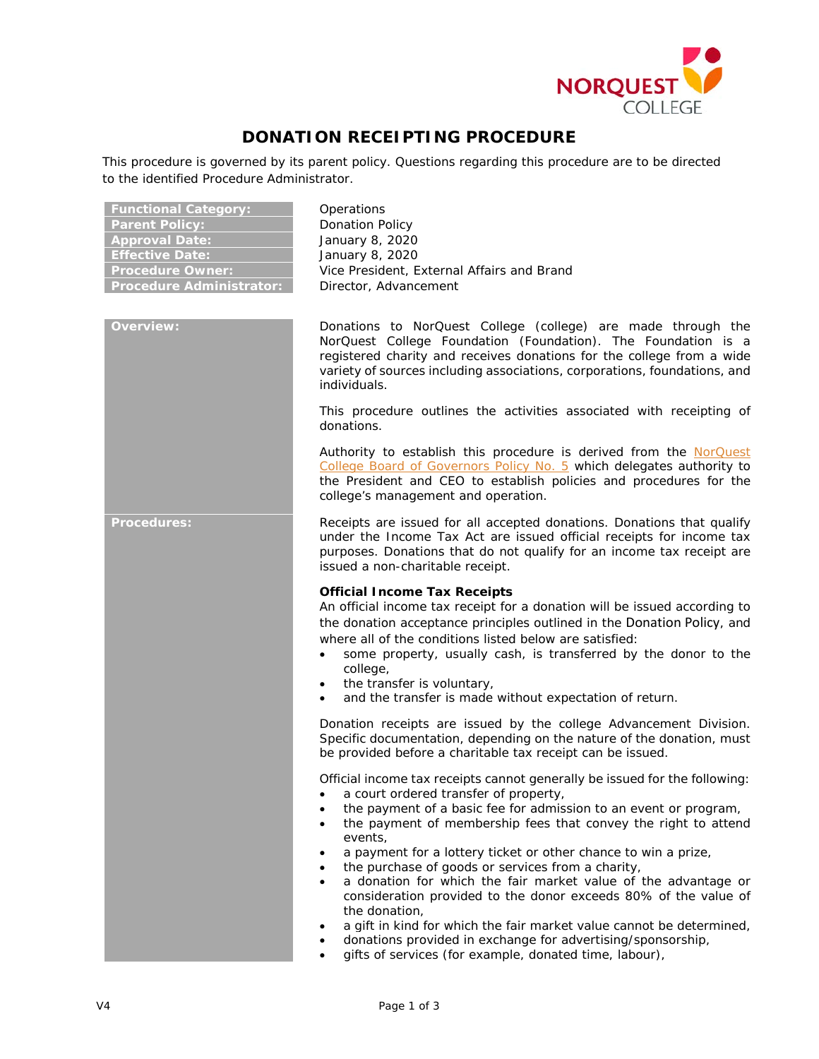

# **DONATION RECEIPTING PROCEDURE**

This procedure is governed by its parent policy. Questions regarding this procedure are to be directed to the identified Procedure Administrator.

| <b>Functional Category:</b>     |
|---------------------------------|
| <b>Parent Policy:</b>           |
| <b>Approval Date:</b>           |
| <b>Effective Date:</b>          |
| <b>Procedure Owner:</b>         |
| <b>Procedure Administrator:</b> |

**Functional Category:** Operations **Ponation Policy Approval Date:** January 8, 2020 **Effective Date:** January 8, 2020 Vice President, External Affairs and Brand **Pirector, Advancement** 

**Overview:** Donations to NorQuest College (college) are made through the NorQuest College Foundation (Foundation). The Foundation is a registered charity and receives donations for the college from a wide variety of sources including associations, corporations, foundations, and individuals.

> This procedure outlines the activities associated with receipting of donations.

> Authority to establish this procedure is derived from the [NorQuest](https://www.norquest.ca/NorquestCollege/media/pdf/about-us/board/policies-procedures/05-Board-Policy_Delegate_authority_to_President.pdf)  [College Board of Governors Policy No. 5](https://www.norquest.ca/NorquestCollege/media/pdf/about-us/board/policies-procedures/05-Board-Policy_Delegate_authority_to_President.pdf) which delegates authority to the President and CEO to establish policies and procedures for the college's management and operation.

**Procedures:** Receipts are issued for all accepted donations. Donations that qualify under the *Income Tax Act* are issued official receipts for income tax purposes. Donations that do not qualify for an income tax receipt are issued a non-charitable receipt.

# **Official Income Tax Receipts**

An official income tax receipt for a donation will be issued according to the donation acceptance principles outlined in the Donation Policy, and where all of the conditions listed below are satisfied:

- some property, usually cash, is transferred by the donor to the college,
- the transfer is voluntary,
- and the transfer is made without expectation of return.

Donation receipts are issued by the college Advancement Division. Specific documentation, depending on the nature of the donation, must be provided before a charitable tax receipt can be issued.

Official income tax receipts cannot generally be issued for the following:

- a court ordered transfer of property,
- the payment of a basic fee for admission to an event or program,
- the payment of membership fees that convey the right to attend events,
- a payment for a lottery ticket or other chance to win a prize,
- the purchase of goods or services from a charity,
- a donation for which the fair market value of the advantage or consideration provided to the donor exceeds 80% of the value of the donation,
- a gift in kind for which the fair market value cannot be determined,
- donations provided in exchange for advertising/sponsorship,
- gifts of services (for example, donated time, labour),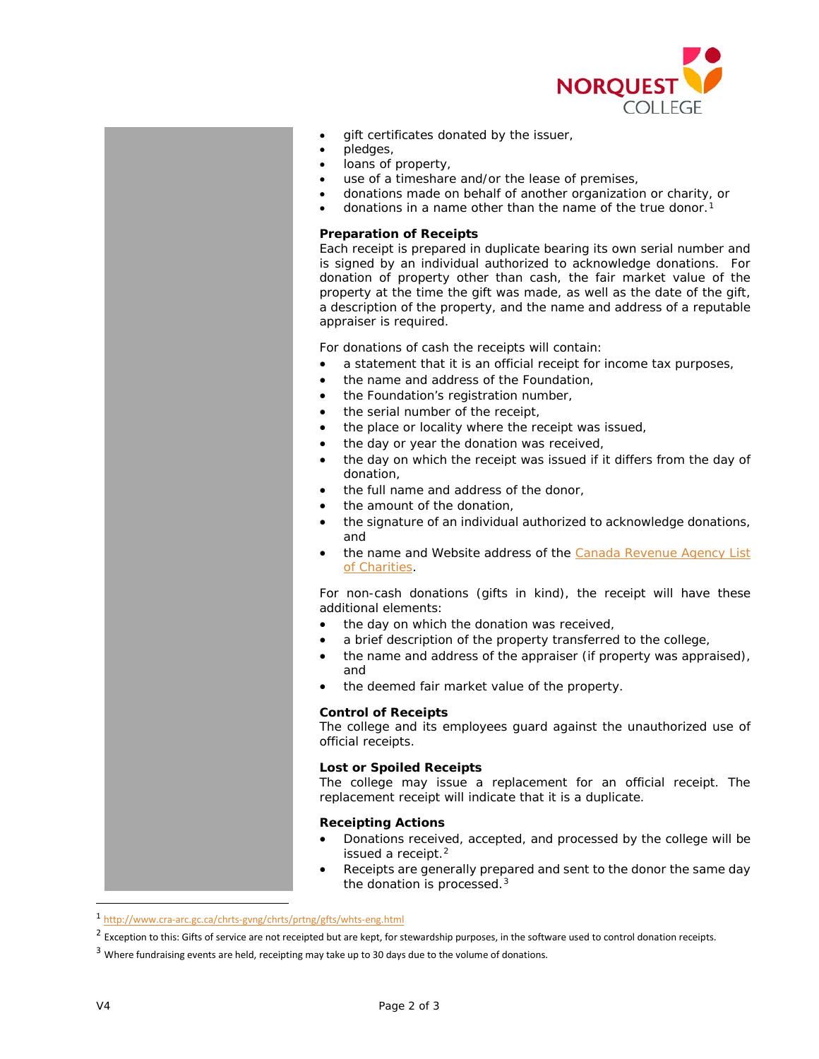

- qift certificates donated by the issuer,
- pledges,
- loans of property,
- use of a timeshare and/or the lease of premises,
- donations made on behalf of another organization or charity, or
- donations in a name other than the name of the true donor.<sup>[1](#page-1-0)</sup>

# **Preparation of Receipts**

Each receipt is prepared in duplicate bearing its own serial number and is signed by an individual authorized to acknowledge donations. For donation of property other than cash, the fair market value of the property at the time the gift was made, as well as the date of the gift, a description of the property, and the name and address of a reputable appraiser is required.

For donations of cash the receipts will contain:

- a statement that it is an official receipt for income tax purposes,
- the name and address of the Foundation,
- the Foundation's registration number,
- the serial number of the receipt,
- the place or locality where the receipt was issued,
- the day or year the donation was received,
- the day on which the receipt was issued if it differs from the day of donation,
- the full name and address of the donor,
- the amount of the donation.
- the signature of an individual authorized to acknowledge donations, and
- the name and Website address of the Canada Revenue Agency List [of Charities.](https://apps.cra-arc.gc.ca/ebci/hacc/srch/pub/dsplyBscSrch?request_locale=en)

For non-cash donations (gifts in kind), the receipt will have these additional elements:

- the day on which the donation was received,
- a brief description of the property transferred to the college,
- the name and address of the appraiser (if property was appraised), and
- the deemed fair market value of the property.

### **Control of Receipts**

The college and its employees guard against the unauthorized use of official receipts.

# **Lost or Spoiled Receipts**

The college may issue a replacement for an official receipt. The replacement receipt will indicate that it is a duplicate.

## **Receipting Actions**

- Donations received, accepted, and processed by the college will be issued a receipt.<sup>[2](#page-1-1)</sup>
- Receipts are generally prepared and sent to the donor the same day the donation is processed.<sup>[3](#page-1-2)</sup>

<span id="page-1-0"></span> <sup>1</sup> <http://www.cra-arc.gc.ca/chrts-gvng/chrts/prtng/gfts/whts-eng.html>

<span id="page-1-1"></span> $2$  Exception to this: Gifts of service are not receipted but are kept, for stewardship purposes, in the software used to control donation receipts.

<span id="page-1-2"></span><sup>&</sup>lt;sup>3</sup> Where fundraising events are held, receipting may take up to 30 days due to the volume of donations.